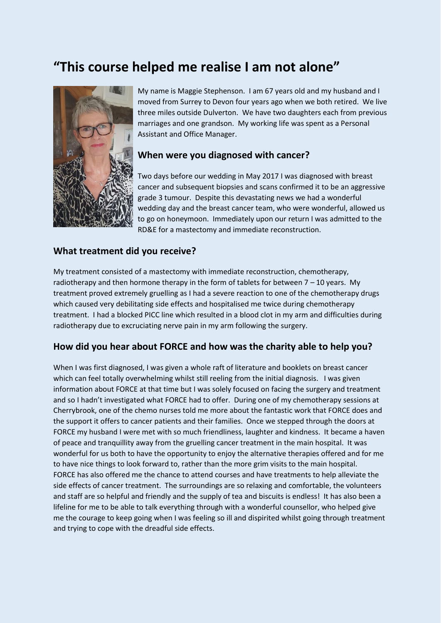# **"This course helped me realise I am not alone"**



My name is Maggie Stephenson. I am 67 years old and my husband and I moved from Surrey to Devon four years ago when we both retired. We live three miles outside Dulverton. We have two daughters each from previous marriages and one grandson. My working life was spent as a Personal Assistant and Office Manager.

#### **When were you diagnosed with cancer?**

Two days before our wedding in May 2017 I was diagnosed with breast cancer and subsequent biopsies and scans confirmed it to be an aggressive grade 3 tumour. Despite this devastating news we had a wonderful wedding day and the breast cancer team, who were wonderful, allowed us to go on honeymoon. Immediately upon our return I was admitted to the RD&E for a mastectomy and immediate reconstruction.

#### **What treatment did you receive?**

My treatment consisted of a mastectomy with immediate reconstruction, chemotherapy, radiotherapy and then hormone therapy in the form of tablets for between  $7 - 10$  years. My treatment proved extremely gruelling as I had a severe reaction to one of the chemotherapy drugs which caused very debilitating side effects and hospitalised me twice during chemotherapy treatment. I had a blocked PICC line which resulted in a blood clot in my arm and difficulties during radiotherapy due to excruciating nerve pain in my arm following the surgery.

#### **How did you hear about FORCE and how was the charity able to help you?**

When I was first diagnosed, I was given a whole raft of literature and booklets on breast cancer which can feel totally overwhelming whilst still reeling from the initial diagnosis. I was given information about FORCE at that time but I was solely focused on facing the surgery and treatment and so I hadn't investigated what FORCE had to offer. During one of my chemotherapy sessions at Cherrybrook, one of the chemo nurses told me more about the fantastic work that FORCE does and the support it offers to cancer patients and their families. Once we stepped through the doors at FORCE my husband I were met with so much friendliness, laughter and kindness. It became a haven of peace and tranquillity away from the gruelling cancer treatment in the main hospital. It was wonderful for us both to have the opportunity to enjoy the alternative therapies offered and for me to have nice things to look forward to, rather than the more grim visits to the main hospital. FORCE has also offered me the chance to attend courses and have treatments to help alleviate the side effects of cancer treatment. The surroundings are so relaxing and comfortable, the volunteers and staff are so helpful and friendly and the supply of tea and biscuits is endless! It has also been a lifeline for me to be able to talk everything through with a wonderful counsellor, who helped give me the courage to keep going when I was feeling so ill and dispirited whilst going through treatment and trying to cope with the dreadful side effects.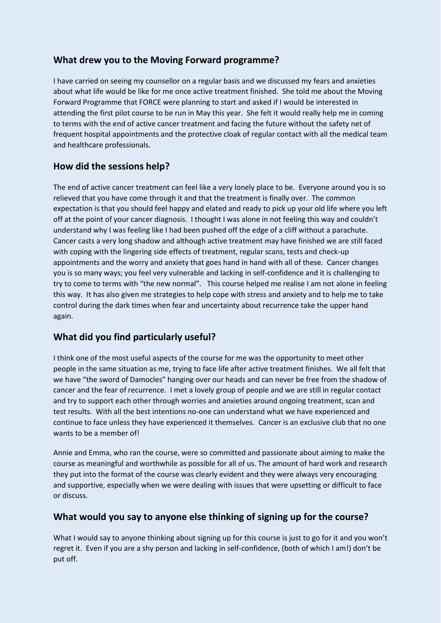## **What drew you to the Moving Forward programme?**

I have carried on seeing my counsellor on a regular basis and we discussed my fears and anxieties about what life would be like for me once active treatment finished. She told me about the Moving Forward Programme that FORCE were planning to start and asked if I would be interested in attending the first pilot course to be run in May this year. She felt it would really help me in coming to terms with the end of active cancer treatment and facing the future without the safety net of frequent hospital appointments and the protective cloak of regular contact with all the medical team and healthcare professionals.

## **How did the sessions help?**

The end of active cancer treatment can feel like a very lonely place to be. Everyone around you is so relieved that you have come through it and that the treatment is finally over. The common expectation is that you should feel happy and elated and ready to pick up your old life where you left off at the point of your cancer diagnosis. I thought I was alone in not feeling this way and couldn't understand why I was feeling like I had been pushed off the edge of a cliff without a parachute. Cancer casts a very long shadow and although active treatment may have finished we are still faced with coping with the lingering side effects of treatment, regular scans, tests and check-up appointments and the worry and anxiety that goes hand in hand with all of these. Cancer changes you is so many ways; you feel very vulnerable and lacking in self-confidence and it is challenging to try to come to terms with "the new normal". This course helped me realise I am not alone in feeling this way. It has also given me strategies to help cope with stress and anxiety and to help me to take control during the dark times when fear and uncertainty about recurrence take the upper hand again.

# **What did you find particularly useful?**

I think one of the most useful aspects of the course for me was the opportunity to meet other people in the same situation as me, trying to face life after active treatment finishes. We all felt that we have "the sword of Damocles" hanging over our heads and can never be free from the shadow of cancer and the fear of recurrence. I met a lovely group of people and we are still in regular contact and try to support each other through worries and anxieties around ongoing treatment, scan and test results. With all the best intentions no-one can understand what we have experienced and continue to face unless they have experienced it themselves. Cancer is an exclusive club that no one wants to be a member of!

Annie and Emma, who ran the course, were so committed and passionate about aiming to make the course as meaningful and worthwhile as possible for all of us. The amount of hard work and research they put into the format of the course was clearly evident and they were always very encouraging and supportive, especially when we were dealing with issues that were upsetting or difficult to face or discuss.

### **What would you say to anyone else thinking of signing up for the course?**

What I would say to anyone thinking about signing up for this course is just to go for it and you won't regret it. Even if you are a shy person and lacking in self-confidence, (both of which I am!) don't be put off.